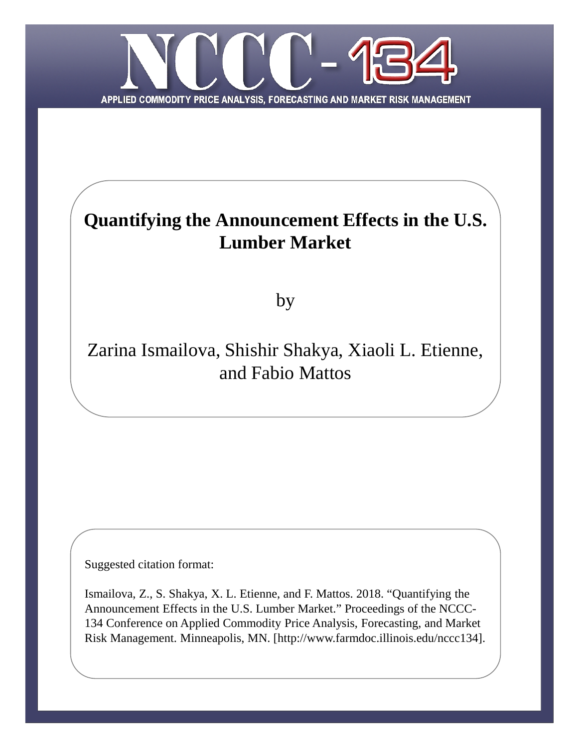

# **Quantifying the Announcement Effects in the U.S. Lumber Market**

by

## Zarina Ismailova, Shishir Shakya, Xiaoli L. Etienne, and Fabio Mattos

Suggested citation format:

Ismailova, Z., S. Shakya, X. L. Etienne, and F. Mattos. 2018. "Quantifying the Announcement Effects in the U.S. Lumber Market." Proceedings of the NCCC-134 Conference on Applied Commodity Price Analysis, Forecasting, and Market Risk Management. Minneapolis, MN. [http://www.farmdoc.illinois.edu/nccc134].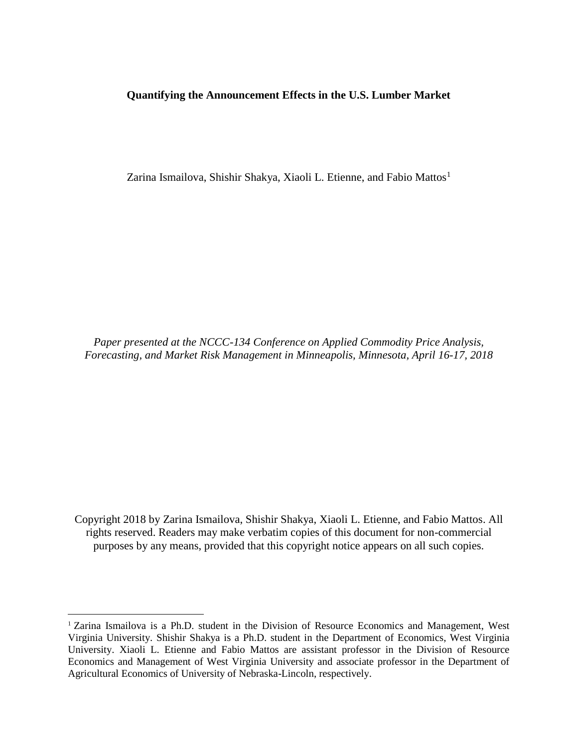#### **Quantifying the Announcement Effects in the U.S. Lumber Market**

Zarina Ismailova, Shishir Shakya, Xiaoli L. Etienne, and Fabio Mattos<sup>1</sup>

*Paper presented at the NCCC-134 Conference on Applied Commodity Price Analysis, Forecasting, and Market Risk Management in Minneapolis, Minnesota, April 16-17, 2018*

Copyright 2018 by Zarina Ismailova, Shishir Shakya, Xiaoli L. Etienne, and Fabio Mattos. All rights reserved. Readers may make verbatim copies of this document for non-commercial purposes by any means, provided that this copyright notice appears on all such copies.

 $\overline{a}$ 

<sup>&</sup>lt;sup>1</sup> Zarina Ismailova is a Ph.D. student in the Division of Resource Economics and Management, West Virginia University. Shishir Shakya is a Ph.D. student in the Department of Economics, West Virginia University. Xiaoli L. Etienne and Fabio Mattos are assistant professor in the Division of Resource Economics and Management of West Virginia University and associate professor in the Department of Agricultural Economics of University of Nebraska-Lincoln, respectively.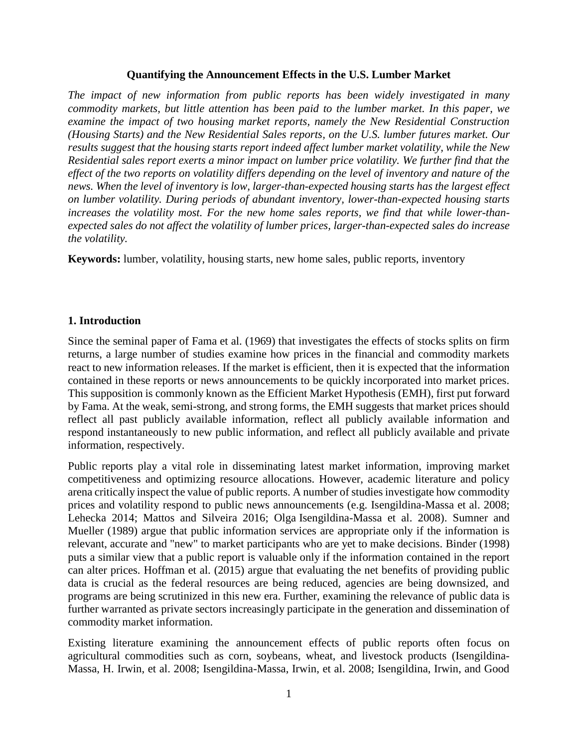## **Quantifying the Announcement Effects in the U.S. Lumber Market**

*The impact of new information from public reports has been widely investigated in many commodity markets, but little attention has been paid to the lumber market. In this paper, we examine the impact of two housing market reports, namely the New Residential Construction (Housing Starts) and the New Residential Sales reports, on the U.S. lumber futures market. Our results suggest that the housing starts report indeed affect lumber market volatility, while the New Residential sales report exerts a minor impact on lumber price volatility. We further find that the effect of the two reports on volatility differs depending on the level of inventory and nature of the news. When the level of inventory is low, larger-than-expected housing starts has the largest effect on lumber volatility. During periods of abundant inventory, lower-than-expected housing starts increases the volatility most. For the new home sales reports, we find that while lower-thanexpected sales do not affect the volatility of lumber prices, larger-than-expected sales do increase the volatility.*

**Keywords:** lumber, volatility, housing starts, new home sales, public reports, inventory

## **1. Introduction**

Since the seminal paper of Fama et al. (1969) that investigates the effects of stocks splits on firm returns, a large number of studies examine how prices in the financial and commodity markets react to new information releases. If the market is efficient, then it is expected that the information contained in these reports or news announcements to be quickly incorporated into market prices. This supposition is commonly known as the Efficient Market Hypothesis (EMH), first put forward by Fama. At the weak, semi-strong, and strong forms, the EMH suggests that market prices should reflect all past publicly available information, reflect all publicly available information and respond instantaneously to new public information, and reflect all publicly available and private information, respectively.

Public reports play a vital role in disseminating latest market information, improving market competitiveness and optimizing resource allocations. However, academic literature and policy arena critically inspect the value of public reports. A number of studies investigate how commodity prices and volatility respond to public news announcements (e.g. Isengildina-Massa et al. 2008; Lehecka 2014; Mattos and Silveira 2016; Olga Isengildina-Massa et al. 2008). Sumner and Mueller (1989) argue that public information services are appropriate only if the information is relevant, accurate and "new" to market participants who are yet to make decisions. Binder (1998) puts a similar view that a public report is valuable only if the information contained in the report can alter prices. Hoffman et al. (2015) argue that evaluating the net benefits of providing public data is crucial as the federal resources are being reduced, agencies are being downsized, and programs are being scrutinized in this new era. Further, examining the relevance of public data is further warranted as private sectors increasingly participate in the generation and dissemination of commodity market information.

Existing literature examining the announcement effects of public reports often focus on agricultural commodities such as corn, soybeans, wheat, and livestock products (Isengildina-Massa, H. Irwin, et al. 2008; Isengildina-Massa, Irwin, et al. 2008; Isengildina, Irwin, and Good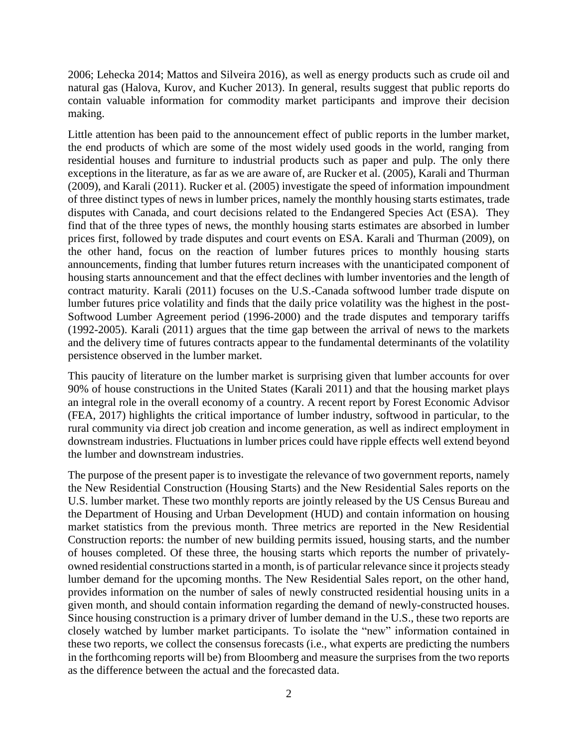2006; Lehecka 2014; Mattos and Silveira 2016), as well as energy products such as crude oil and natural gas (Halova, Kurov, and Kucher 2013). In general, results suggest that public reports do contain valuable information for commodity market participants and improve their decision making.

Little attention has been paid to the announcement effect of public reports in the lumber market, the end products of which are some of the most widely used goods in the world, ranging from residential houses and furniture to industrial products such as paper and pulp. The only there exceptions in the literature, as far as we are aware of, are Rucker et al. (2005), Karali and Thurman (2009), and Karali (2011). Rucker et al. (2005) investigate the speed of information impoundment of three distinct types of news in lumber prices, namely the monthly housing starts estimates, trade disputes with Canada, and court decisions related to the Endangered Species Act (ESA). They find that of the three types of news, the monthly housing starts estimates are absorbed in lumber prices first, followed by trade disputes and court events on ESA. Karali and Thurman (2009), on the other hand, focus on the reaction of lumber futures prices to monthly housing starts announcements, finding that lumber futures return increases with the unanticipated component of housing starts announcement and that the effect declines with lumber inventories and the length of contract maturity. Karali (2011) focuses on the U.S.-Canada softwood lumber trade dispute on lumber futures price volatility and finds that the daily price volatility was the highest in the post-Softwood Lumber Agreement period (1996-2000) and the trade disputes and temporary tariffs (1992-2005). Karali (2011) argues that the time gap between the arrival of news to the markets and the delivery time of futures contracts appear to the fundamental determinants of the volatility persistence observed in the lumber market.

This paucity of literature on the lumber market is surprising given that lumber accounts for over 90% of house constructions in the United States (Karali 2011) and that the housing market plays an integral role in the overall economy of a country. A recent report by Forest Economic Advisor (FEA, 2017) highlights the critical importance of lumber industry, softwood in particular, to the rural community via direct job creation and income generation, as well as indirect employment in downstream industries. Fluctuations in lumber prices could have ripple effects well extend beyond the lumber and downstream industries.

The purpose of the present paper is to investigate the relevance of two government reports, namely the New Residential Construction (Housing Starts) and the New Residential Sales reports on the U.S. lumber market. These two monthly reports are jointly released by the US Census Bureau and the Department of Housing and Urban Development (HUD) and contain information on housing market statistics from the previous month. Three metrics are reported in the New Residential Construction reports: the number of new building permits issued, housing starts, and the number of houses completed. Of these three, the housing starts which reports the number of privatelyowned residential constructions started in a month, is of particular relevance since it projects steady lumber demand for the upcoming months. The New Residential Sales report, on the other hand, provides information on the number of sales of newly constructed residential housing units in a given month, and should contain information regarding the demand of newly-constructed houses. Since housing construction is a primary driver of lumber demand in the U.S., these two reports are closely watched by lumber market participants. To isolate the "new" information contained in these two reports, we collect the consensus forecasts (i.e., what experts are predicting the numbers in the forthcoming reports will be) from Bloomberg and measure the surprises from the two reports as the difference between the actual and the forecasted data.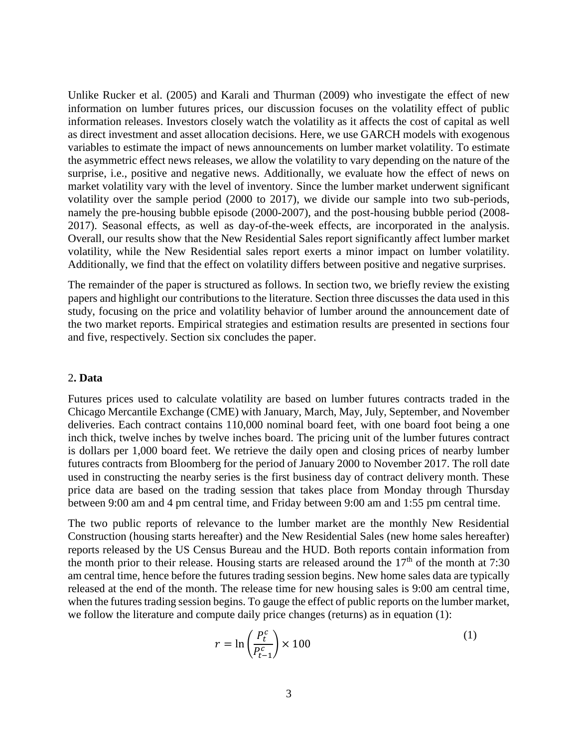Unlike Rucker et al. (2005) and Karali and Thurman (2009) who investigate the effect of new information on lumber futures prices, our discussion focuses on the volatility effect of public information releases. Investors closely watch the volatility as it affects the cost of capital as well as direct investment and asset allocation decisions. Here, we use GARCH models with exogenous variables to estimate the impact of news announcements on lumber market volatility. To estimate the asymmetric effect news releases, we allow the volatility to vary depending on the nature of the surprise, i.e., positive and negative news. Additionally, we evaluate how the effect of news on market volatility vary with the level of inventory. Since the lumber market underwent significant volatility over the sample period (2000 to 2017), we divide our sample into two sub-periods, namely the pre-housing bubble episode (2000-2007), and the post-housing bubble period (2008- 2017). Seasonal effects, as well as day-of-the-week effects, are incorporated in the analysis. Overall, our results show that the New Residential Sales report significantly affect lumber market volatility, while the New Residential sales report exerts a minor impact on lumber volatility. Additionally, we find that the effect on volatility differs between positive and negative surprises.

The remainder of the paper is structured as follows. In section two, we briefly review the existing papers and highlight our contributions to the literature. Section three discusses the data used in this study, focusing on the price and volatility behavior of lumber around the announcement date of the two market reports. Empirical strategies and estimation results are presented in sections four and five, respectively. Section six concludes the paper.

#### 2**. Data**

Futures prices used to calculate volatility are based on lumber futures contracts traded in the Chicago Mercantile Exchange (CME) with January, March, May, July, September, and November deliveries. Each contract contains 110,000 nominal board feet, with one board foot being a one inch thick, twelve inches by twelve inches board. The pricing unit of the lumber futures contract is dollars per 1,000 board feet. We retrieve the daily open and closing prices of nearby lumber futures contracts from Bloomberg for the period of January 2000 to November 2017. The roll date used in constructing the nearby series is the first business day of contract delivery month. These price data are based on the trading session that takes place from Monday through Thursday between 9:00 am and 4 pm central time, and Friday between 9:00 am and 1:55 pm central time.

The two public reports of relevance to the lumber market are the monthly New Residential Construction (housing starts hereafter) and the New Residential Sales (new home sales hereafter) reports released by the US Census Bureau and the HUD. Both reports contain information from the month prior to their release. Housing starts are released around the  $17<sup>th</sup>$  of the month at 7:30 am central time, hence before the futures trading session begins. New home sales data are typically released at the end of the month. The release time for new housing sales is 9:00 am central time, when the futures trading session begins. To gauge the effect of public reports on the lumber market, we follow the literature and compute daily price changes (returns) as in equation (1):

$$
r = \ln\left(\frac{P_t^c}{P_{t-1}^c}\right) \times 100\tag{1}
$$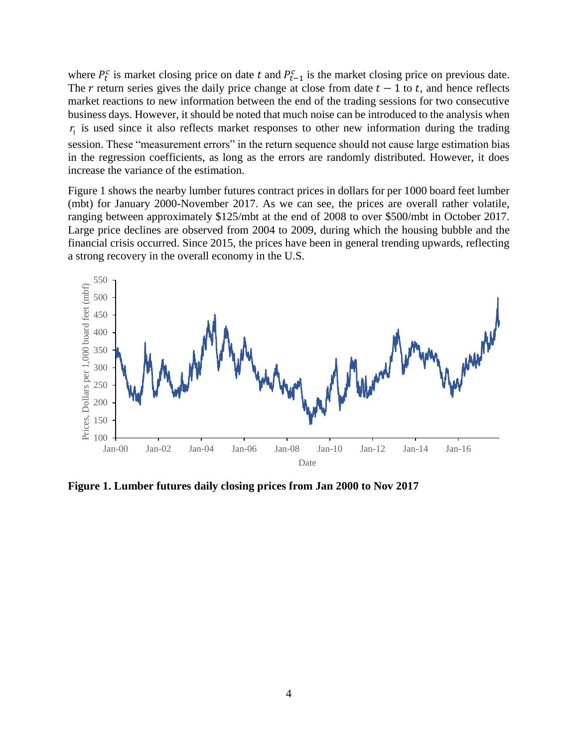where  $P_t^c$  is market closing price on date t and  $P_{t-1}^c$  is the market closing price on previous date. The r return series gives the daily price change at close from date  $t - 1$  to t, and hence reflects market reactions to new information between the end of the trading sessions for two consecutive business days. However, it should be noted that much noise can be introduced to the analysis when  $r_1$  is used since it also reflects market responses to other new information during the trading session. These "measurement errors" in the return sequence should not cause large estimation bias in the regression coefficients, as long as the errors are randomly distributed. However, it does increase the variance of the estimation.

Figure 1 shows the nearby lumber futures contract prices in dollars for per 1000 board feet lumber (mbt) for January 2000-November 2017. As we can see, the prices are overall rather volatile, ranging between approximately \$125/mbt at the end of 2008 to over \$500/mbt in October 2017. Large price declines are observed from 2004 to 2009, during which the housing bubble and the financial crisis occurred. Since 2015, the prices have been in general trending upwards, reflecting a strong recovery in the overall economy in the U.S.



**Figure 1. Lumber futures daily closing prices from Jan 2000 to Nov 2017**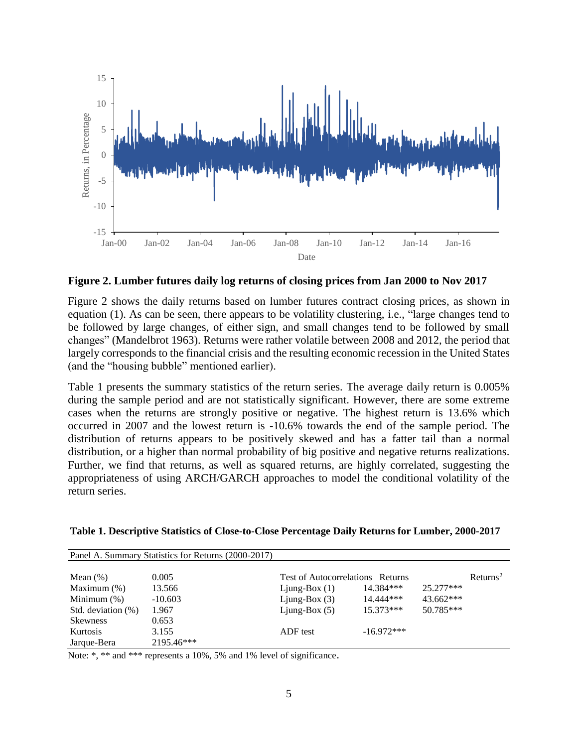

**Figure 2. Lumber futures daily log returns of closing prices from Jan 2000 to Nov 2017**

Figure 2 shows the daily returns based on lumber futures contract closing prices, as shown in equation (1). As can be seen, there appears to be volatility clustering, i.e., "large changes tend to be followed by large changes, of either sign, and small changes tend to be followed by small changes" (Mandelbrot 1963). Returns were rather volatile between 2008 and 2012, the period that largely corresponds to the financial crisis and the resulting economic recession in the United States (and the "housing bubble" mentioned earlier).

Table 1 presents the summary statistics of the return series. The average daily return is 0.005% during the sample period and are not statistically significant. However, there are some extreme cases when the returns are strongly positive or negative. The highest return is 13.6% which occurred in 2007 and the lowest return is -10.6% towards the end of the sample period. The distribution of returns appears to be positively skewed and has a fatter tail than a normal distribution, or a higher than normal probability of big positive and negative returns realizations. Further, we find that returns, as well as squared returns, are highly correlated, suggesting the appropriateness of using ARCH/GARCH approaches to model the conditional volatility of the return series.

|                    | Panel A. Summary Statistics for Returns (2000-2017) |                                            |              |             |                         |
|--------------------|-----------------------------------------------------|--------------------------------------------|--------------|-------------|-------------------------|
|                    |                                                     |                                            |              |             |                         |
| Mean $(\%)$        | 0.005                                               | <b>Test of Autocorrelations</b><br>Returns |              |             | $R$ eturns <sup>2</sup> |
| Maximum $(\%)$     | 13.566                                              | Ljung-Box $(1)$                            | 14.384***    | $25.277***$ |                         |
| Minimum $(\%)$     | $-10.603$                                           | Ljung-Box $(3)$                            | 14.444***    | $43.662***$ |                         |
| Std. deviation (%) | 1.967                                               | Ljung-Box $(5)$                            | $15.373***$  | 50.785***   |                         |
| <b>Skewness</b>    | 0.653                                               |                                            |              |             |                         |
| Kurtosis           | 3.155                                               | ADF test                                   | $-16.972***$ |             |                         |
| Jarque-Bera        | 2195.46***                                          |                                            |              |             |                         |

| Table 1. Descriptive Statistics of Close-to-Close Percentage Daily Returns for Lumber, 2000-2017 |  |  |  |  |
|--------------------------------------------------------------------------------------------------|--|--|--|--|
|                                                                                                  |  |  |  |  |

Note: \*, \*\* and \*\*\* represents a 10%, 5% and 1% level of significance.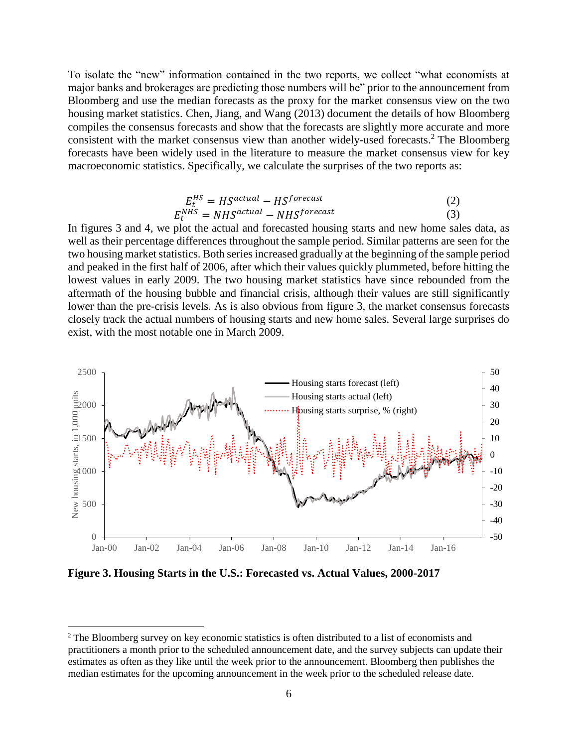To isolate the "new" information contained in the two reports, we collect "what economists at major banks and brokerages are predicting those numbers will be" prior to the announcement from Bloomberg and use the median forecasts as the proxy for the market consensus view on the two housing market statistics. Chen, Jiang, and Wang (2013) document the details of how Bloomberg compiles the consensus forecasts and show that the forecasts are slightly more accurate and more consistent with the market consensus view than another widely-used forecasts. <sup>2</sup> The Bloomberg forecasts have been widely used in the literature to measure the market consensus view for key macroeconomic statistics. Specifically, we calculate the surprises of the two reports as:

$$
E_t^{HS} = HS^{actual} - HS^{forecast}
$$
  
\n
$$
E_t^{NHS} = NHS^{actual} - NHS^{forecast}
$$
 (2)

In figures 3 and 4, we plot the actual and forecasted housing starts and new home sales data, as well as their percentage differences throughout the sample period. Similar patterns are seen for the two housing market statistics. Both series increased gradually at the beginning of the sample period and peaked in the first half of 2006, after which their values quickly plummeted, before hitting the lowest values in early 2009. The two housing market statistics have since rebounded from the aftermath of the housing bubble and financial crisis, although their values are still significantly lower than the pre-crisis levels. As is also obvious from figure 3, the market consensus forecasts closely track the actual numbers of housing starts and new home sales. Several large surprises do exist, with the most notable one in March 2009.



**Figure 3. Housing Starts in the U.S.: Forecasted vs. Actual Values, 2000-2017**

 $\overline{a}$ 

<sup>&</sup>lt;sup>2</sup> The Bloomberg survey on key economic statistics is often distributed to a list of economists and practitioners a month prior to the scheduled announcement date, and the survey subjects can update their estimates as often as they like until the week prior to the announcement. Bloomberg then publishes the median estimates for the upcoming announcement in the week prior to the scheduled release date.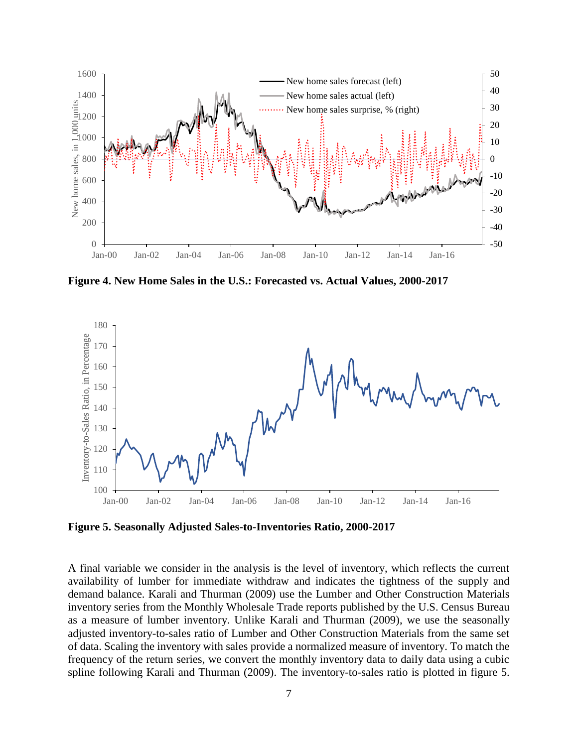

**Figure 4. New Home Sales in the U.S.: Forecasted vs. Actual Values, 2000-2017**



**Figure 5. Seasonally Adjusted Sales-to-Inventories Ratio, 2000-2017**

A final variable we consider in the analysis is the level of inventory, which reflects the current availability of lumber for immediate withdraw and indicates the tightness of the supply and demand balance. Karali and Thurman (2009) use the Lumber and Other Construction Materials inventory series from the Monthly Wholesale Trade reports published by the U.S. Census Bureau as a measure of lumber inventory. Unlike Karali and Thurman (2009), we use the seasonally adjusted inventory-to-sales ratio of Lumber and Other Construction Materials from the same set of data. Scaling the inventory with sales provide a normalized measure of inventory. To match the frequency of the return series, we convert the monthly inventory data to daily data using a cubic spline following Karali and Thurman (2009). The inventory-to-sales ratio is plotted in figure 5.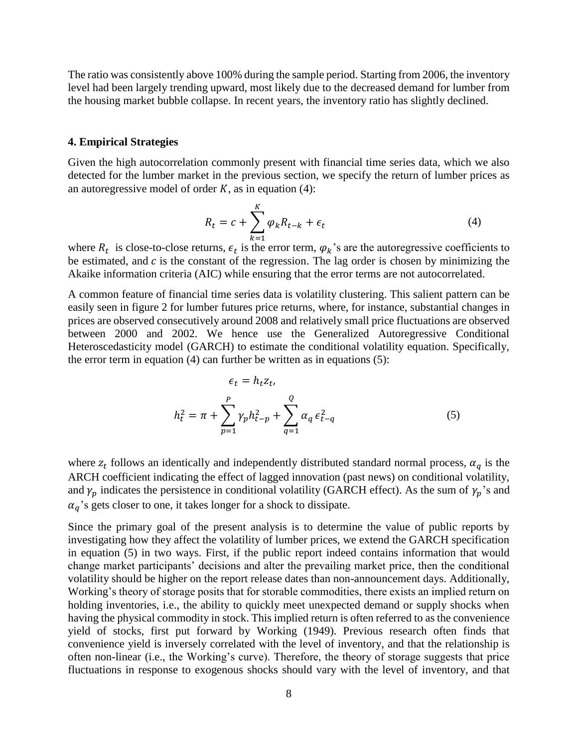The ratio was consistently above 100% during the sample period. Starting from 2006, the inventory level had been largely trending upward, most likely due to the decreased demand for lumber from the housing market bubble collapse. In recent years, the inventory ratio has slightly declined.

#### **4. Empirical Strategies**

Given the high autocorrelation commonly present with financial time series data, which we also detected for the lumber market in the previous section, we specify the return of lumber prices as an autoregressive model of order  $K$ , as in equation (4):

$$
R_t = c + \sum_{k=1}^{K} \varphi_k R_{t-k} + \epsilon_t
$$
\n<sup>(4)</sup>

where  $R_t$  is close-to-close returns,  $\epsilon_t$  is the error term,  $\varphi_k$ 's are the autoregressive coefficients to be estimated, and  $c$  is the constant of the regression. The lag order is chosen by minimizing the Akaike information criteria (AIC) while ensuring that the error terms are not autocorrelated.

A common feature of financial time series data is volatility clustering. This salient pattern can be easily seen in figure 2 for lumber futures price returns, where, for instance, substantial changes in prices are observed consecutively around 2008 and relatively small price fluctuations are observed between 2000 and 2002. We hence use the Generalized Autoregressive Conditional Heteroscedasticity model (GARCH) to estimate the conditional volatility equation. Specifically, the error term in equation  $(4)$  can further be written as in equations  $(5)$ :

$$
\epsilon_t = h_t z_t,
$$
  

$$
h_t^2 = \pi + \sum_{p=1}^P \gamma_p h_{t-p}^2 + \sum_{q=1}^Q \alpha_q \epsilon_{t-q}^2
$$
 (5)

where  $z_t$  follows an identically and independently distributed standard normal process,  $\alpha_q$  is the ARCH coefficient indicating the effect of lagged innovation (past news) on conditional volatility, and  $\gamma_p$  indicates the persistence in conditional volatility (GARCH effect). As the sum of  $\gamma_p$ 's and  $\alpha_a$ 's gets closer to one, it takes longer for a shock to dissipate.

Since the primary goal of the present analysis is to determine the value of public reports by investigating how they affect the volatility of lumber prices, we extend the GARCH specification in equation (5) in two ways. First, if the public report indeed contains information that would change market participants' decisions and alter the prevailing market price, then the conditional volatility should be higher on the report release dates than non-announcement days. Additionally, Working's theory of storage posits that for storable commodities, there exists an implied return on holding inventories, i.e., the ability to quickly meet unexpected demand or supply shocks when having the physical commodity in stock. This implied return is often referred to as the convenience yield of stocks, first put forward by Working (1949). Previous research often finds that convenience yield is inversely correlated with the level of inventory, and that the relationship is often non-linear (i.e., the Working's curve). Therefore, the theory of storage suggests that price fluctuations in response to exogenous shocks should vary with the level of inventory, and that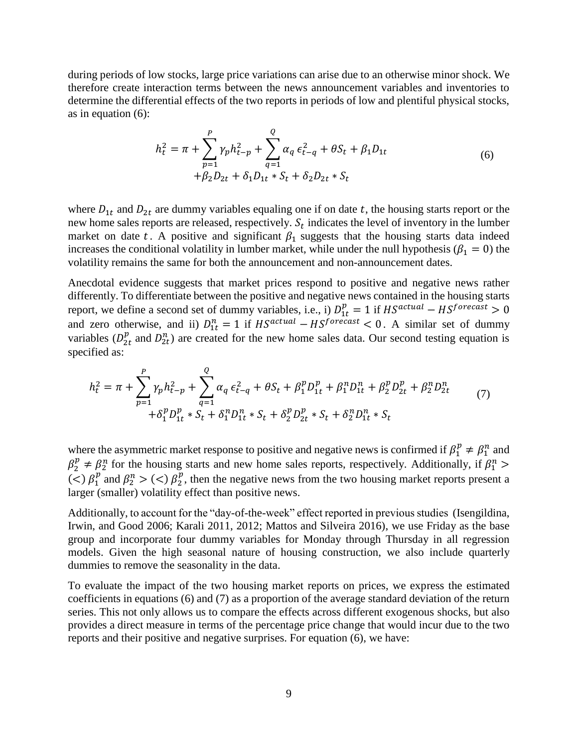during periods of low stocks, large price variations can arise due to an otherwise minor shock. We therefore create interaction terms between the news announcement variables and inventories to determine the differential effects of the two reports in periods of low and plentiful physical stocks, as in equation (6):

$$
h_t^2 = \pi + \sum_{p=1}^P \gamma_p h_{t-p}^2 + \sum_{q=1}^Q \alpha_q \epsilon_{t-q}^2 + \theta S_t + \beta_1 D_{1t}
$$
  
+  $\beta_2 D_{2t} + \delta_1 D_{1t} * S_t + \delta_2 D_{2t} * S_t$  (6)

where  $D_{1t}$  and  $D_{2t}$  are dummy variables equaling one if on date t, the housing starts report or the new home sales reports are released, respectively.  $S_t$  indicates the level of inventory in the lumber market on date t. A positive and significant  $\beta_1$  suggests that the housing starts data indeed increases the conditional volatility in lumber market, while under the null hypothesis ( $\beta_1 = 0$ ) the volatility remains the same for both the announcement and non-announcement dates.

Anecdotal evidence suggests that market prices respond to positive and negative news rather differently. To differentiate between the positive and negative news contained in the housing starts report, we define a second set of dummy variables, i.e., i)  $D_{1t}^{p} = 1$  if  $HS^{actual} - HS^{forecast} > 0$ and zero otherwise, and ii)  $D_{1t}^{n} = 1$  if  $HS^{actual} - HS^{forecast} < 0$ . A similar set of dummy variables  $(D_{2t}^p$  and  $D_{2t}^n$ ) are created for the new home sales data. Our second testing equation is specified as:

$$
h_t^2 = \pi + \sum_{p=1}^P \gamma_p h_{t-p}^2 + \sum_{q=1}^Q \alpha_q \epsilon_{t-q}^2 + \theta S_t + \beta_1^p D_{1t}^p + \beta_1^n D_{1t}^n + \beta_2^p D_{2t}^p + \beta_2^n D_{2t}^n
$$
  
+  $\delta_1^p D_{1t}^p * S_t + \delta_1^n D_{1t}^n * S_t + \delta_2^p D_{2t}^p * S_t + \delta_2^n D_{1t}^n * S_t$  (7)

where the asymmetric market response to positive and negative news is confirmed if  $\beta_1^p \neq \beta_1^n$  and  $\beta_2^p \neq \beta_2^n$  for the housing starts and new home sales reports, respectively. Additionally, if  $\beta_1^n$  > (<)  $\beta_1^p$  and  $\beta_2^n$  > (<)  $\beta_2^p$ , then the negative news from the two housing market reports present a larger (smaller) volatility effect than positive news.

Additionally, to account for the "day-of-the-week" effect reported in previous studies (Isengildina, Irwin, and Good 2006; Karali 2011, 2012; Mattos and Silveira 2016), we use Friday as the base group and incorporate four dummy variables for Monday through Thursday in all regression models. Given the high seasonal nature of housing construction, we also include quarterly dummies to remove the seasonality in the data.

To evaluate the impact of the two housing market reports on prices, we express the estimated coefficients in equations (6) and (7) as a proportion of the average standard deviation of the return series. This not only allows us to compare the effects across different exogenous shocks, but also provides a direct measure in terms of the percentage price change that would incur due to the two reports and their positive and negative surprises. For equation (6), we have: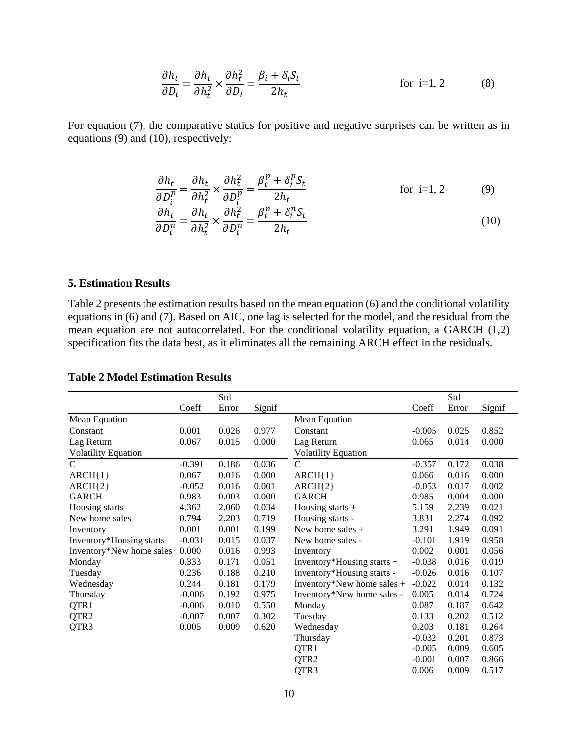$$
\frac{\partial h_t}{\partial D_i} = \frac{\partial h_t}{\partial h_t^2} \times \frac{\partial h_t^2}{\partial D_i} = \frac{\beta_i + \delta_i S_t}{2h_t}
$$
 for i=1, 2 (8)

For equation (7), the comparative statics for positive and negative surprises can be written as in equations (9) and (10), respectively:

$$
\frac{\partial h_t}{\partial D_i^p} = \frac{\partial h_t}{\partial h_t^2} \times \frac{\partial h_t^2}{\partial D_i^p} = \frac{\beta_i^p + \delta_i^p S_t}{2h_t}
$$
 for i=1, 2 (9)  
\n
$$
\frac{\partial h_t}{\partial D_i^n} = \frac{\partial h_t}{\partial h_t^2} \times \frac{\partial h_t^2}{\partial D_i^n} = \frac{\beta_i^n + \delta_i^n S_t}{2h_t}
$$
 (10)

**5. Estimation Results**

Table 2 presents the estimation results based on the mean equation (6) and the conditional volatility equations in (6) and (7). Based on AIC, one lag is selected for the model, and the residual from the mean equation are not autocorrelated. For the conditional volatility equation, a GARCH (1,2) specification fits the data best, as it eliminates all the remaining ARCH effect in the residuals.

|                            |          | Std   |        |                            |          | Std   |        |  |
|----------------------------|----------|-------|--------|----------------------------|----------|-------|--------|--|
|                            | Coeff    | Error | Signif |                            | Coeff    | Error | Signif |  |
| Mean Equation              |          |       |        | Mean Equation              |          |       |        |  |
| Constant                   | 0.001    | 0.026 | 0.977  | Constant                   | $-0.005$ | 0.025 | 0.852  |  |
| Lag Return                 | 0.067    | 0.015 | 0.000  | Lag Return                 | 0.065    | 0.014 | 0.000  |  |
| <b>Volatility Equation</b> |          |       |        | <b>Volatility Equation</b> |          |       |        |  |
| $\mathbf C$                | $-0.391$ | 0.186 | 0.036  | $\mathsf{C}$               | $-0.357$ | 0.172 | 0.038  |  |
| $ARCH{1}$                  | 0.067    | 0.016 | 0.000  | $ARCH{1}$                  | 0.066    | 0.016 | 0.000  |  |
| $ARCH{2}$                  | $-0.052$ | 0.016 | 0.001  | $ARCH{2}$                  | $-0.053$ | 0.017 | 0.002  |  |
| <b>GARCH</b>               | 0.983    | 0.003 | 0.000  | <b>GARCH</b>               | 0.985    | 0.004 | 0.000  |  |
| Housing starts             | 4.362    | 2.060 | 0.034  | Housing starts $+$         | 5.159    | 2.239 | 0.021  |  |
| New home sales             | 0.794    | 2.203 | 0.719  | Housing starts -           | 3.831    | 2.274 | 0.092  |  |
| Inventory                  | 0.001    | 0.001 | 0.199  | New home sales $+$         | 3.291    | 1.949 | 0.091  |  |
| Inventory*Housing starts   | $-0.031$ | 0.015 | 0.037  | New home sales -           | $-0.101$ | 1.919 | 0.958  |  |
| Inventory*New home sales   | 0.000    | 0.016 | 0.993  | Inventory                  | 0.002    | 0.001 | 0.056  |  |
| Monday                     | 0.333    | 0.171 | 0.051  | Inventory*Housing starts + | $-0.038$ | 0.016 | 0.019  |  |
| Tuesday                    | 0.236    | 0.188 | 0.210  | Inventory*Housing starts - | $-0.026$ | 0.016 | 0.107  |  |
| Wednesday                  | 0.244    | 0.181 | 0.179  | Inventory*New home sales + | $-0.022$ | 0.014 | 0.132  |  |
| Thursday                   | $-0.006$ | 0.192 | 0.975  | Inventory*New home sales - | 0.005    | 0.014 | 0.724  |  |
| QTR1                       | $-0.006$ | 0.010 | 0.550  | Monday                     | 0.087    | 0.187 | 0.642  |  |
| QTR <sub>2</sub>           | $-0.007$ | 0.007 | 0.302  | Tuesday                    | 0.133    | 0.202 | 0.512  |  |
| QTR3                       | 0.005    | 0.009 | 0.620  | Wednesday                  | 0.203    | 0.181 | 0.264  |  |
|                            |          |       |        | Thursday                   | $-0.032$ | 0.201 | 0.873  |  |
|                            |          |       |        | QTR1                       | $-0.005$ | 0.009 | 0.605  |  |
|                            |          |       |        | QTR <sub>2</sub>           | $-0.001$ | 0.007 | 0.866  |  |
|                            |          |       |        | QTR3                       | 0.006    | 0.009 | 0.517  |  |

## **Table 2 Model Estimation Results**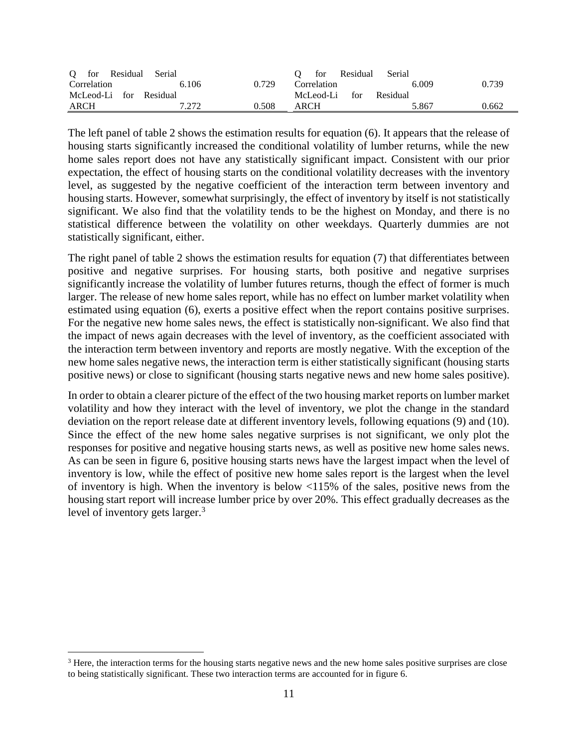| O for Residual         | Serial |       | for Residual     | Serial   |       |
|------------------------|--------|-------|------------------|----------|-------|
| Correlation            | 6.106  | 0.729 | Correlation      | 6.009    | 0.739 |
| McLeod-Li for Residual |        |       | McLeod-Li<br>for | Residual |       |
| ARCH                   | 7.272  | 0.508 | ARCH             | 5.867    | 0.662 |

The left panel of table 2 shows the estimation results for equation (6). It appears that the release of housing starts significantly increased the conditional volatility of lumber returns, while the new home sales report does not have any statistically significant impact. Consistent with our prior expectation, the effect of housing starts on the conditional volatility decreases with the inventory level, as suggested by the negative coefficient of the interaction term between inventory and housing starts. However, somewhat surprisingly, the effect of inventory by itself is not statistically significant. We also find that the volatility tends to be the highest on Monday, and there is no statistical difference between the volatility on other weekdays. Quarterly dummies are not statistically significant, either.

The right panel of table 2 shows the estimation results for equation (7) that differentiates between positive and negative surprises. For housing starts, both positive and negative surprises significantly increase the volatility of lumber futures returns, though the effect of former is much larger. The release of new home sales report, while has no effect on lumber market volatility when estimated using equation (6), exerts a positive effect when the report contains positive surprises. For the negative new home sales news, the effect is statistically non-significant. We also find that the impact of news again decreases with the level of inventory, as the coefficient associated with the interaction term between inventory and reports are mostly negative. With the exception of the new home sales negative news, the interaction term is either statistically significant (housing starts positive news) or close to significant (housing starts negative news and new home sales positive).

In order to obtain a clearer picture of the effect of the two housing market reports on lumber market volatility and how they interact with the level of inventory, we plot the change in the standard deviation on the report release date at different inventory levels, following equations (9) and (10). Since the effect of the new home sales negative surprises is not significant, we only plot the responses for positive and negative housing starts news, as well as positive new home sales news. As can be seen in figure 6, positive housing starts news have the largest impact when the level of inventory is low, while the effect of positive new home sales report is the largest when the level of inventory is high. When the inventory is below <115% of the sales, positive news from the housing start report will increase lumber price by over 20%. This effect gradually decreases as the level of inventory gets larger.<sup>3</sup>

 $\overline{a}$ 

<sup>&</sup>lt;sup>3</sup> Here, the interaction terms for the housing starts negative news and the new home sales positive surprises are close to being statistically significant. These two interaction terms are accounted for in figure 6.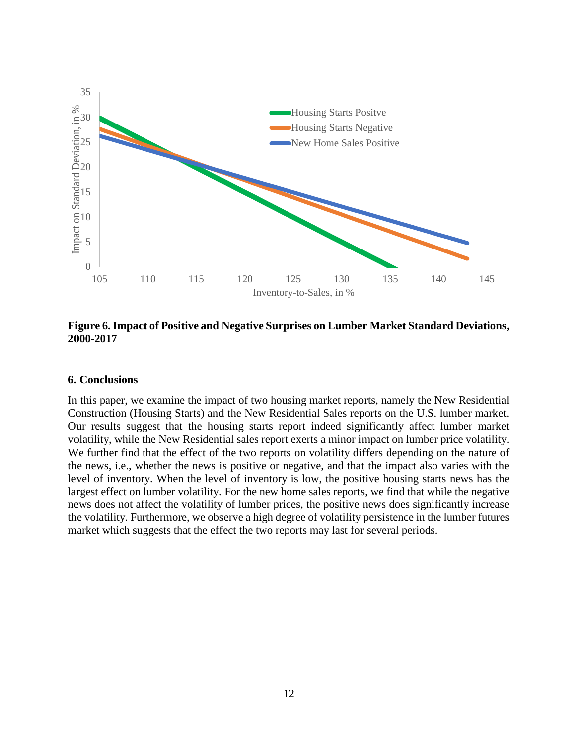

**Figure 6. Impact of Positive and Negative Surprises on Lumber Market Standard Deviations, 2000-2017**

## **6. Conclusions**

In this paper, we examine the impact of two housing market reports, namely the New Residential Construction (Housing Starts) and the New Residential Sales reports on the U.S. lumber market. Our results suggest that the housing starts report indeed significantly affect lumber market volatility, while the New Residential sales report exerts a minor impact on lumber price volatility. We further find that the effect of the two reports on volatility differs depending on the nature of the news, i.e., whether the news is positive or negative, and that the impact also varies with the level of inventory. When the level of inventory is low, the positive housing starts news has the largest effect on lumber volatility. For the new home sales reports, we find that while the negative news does not affect the volatility of lumber prices, the positive news does significantly increase the volatility. Furthermore, we observe a high degree of volatility persistence in the lumber futures market which suggests that the effect the two reports may last for several periods.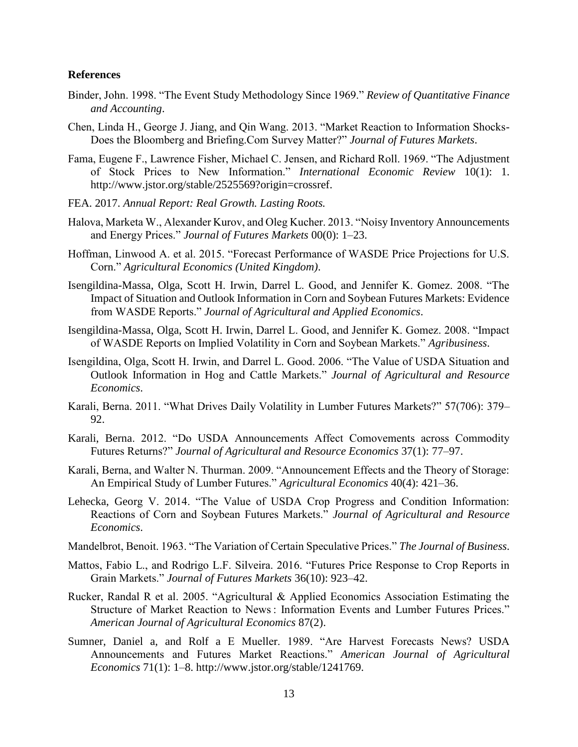#### **References**

- Binder, John. 1998. "The Event Study Methodology Since 1969." *Review of Quantitative Finance and Accounting*.
- Chen, Linda H., George J. Jiang, and Qin Wang. 2013. "Market Reaction to Information Shocks-Does the Bloomberg and Briefing.Com Survey Matter?" *Journal of Futures Markets*.
- Fama, Eugene F., Lawrence Fisher, Michael C. Jensen, and Richard Roll. 1969. "The Adjustment of Stock Prices to New Information." *International Economic Review* 10(1): 1. http://www.jstor.org/stable/2525569?origin=crossref.
- FEA. 2017. *Annual Report: Real Growth. Lasting Roots.*
- Halova, Marketa W., Alexander Kurov, and Oleg Kucher. 2013. "Noisy Inventory Announcements and Energy Prices." *Journal of Futures Markets* 00(0): 1–23.
- Hoffman, Linwood A. et al. 2015. "Forecast Performance of WASDE Price Projections for U.S. Corn." *Agricultural Economics (United Kingdom)*.
- Isengildina-Massa, Olga, Scott H. Irwin, Darrel L. Good, and Jennifer K. Gomez. 2008. "The Impact of Situation and Outlook Information in Corn and Soybean Futures Markets: Evidence from WASDE Reports." *Journal of Agricultural and Applied Economics*.
- Isengildina-Massa, Olga, Scott H. Irwin, Darrel L. Good, and Jennifer K. Gomez. 2008. "Impact of WASDE Reports on Implied Volatility in Corn and Soybean Markets." *Agribusiness*.
- Isengildina, Olga, Scott H. Irwin, and Darrel L. Good. 2006. "The Value of USDA Situation and Outlook Information in Hog and Cattle Markets." *Journal of Agricultural and Resource Economics*.
- Karali, Berna. 2011. "What Drives Daily Volatility in Lumber Futures Markets?" 57(706): 379– 92.
- Karali, Berna. 2012. "Do USDA Announcements Affect Comovements across Commodity Futures Returns?" *Journal of Agricultural and Resource Economics* 37(1): 77–97.
- Karali, Berna, and Walter N. Thurman. 2009. "Announcement Effects and the Theory of Storage: An Empirical Study of Lumber Futures." *Agricultural Economics* 40(4): 421–36.
- Lehecka, Georg V. 2014. "The Value of USDA Crop Progress and Condition Information: Reactions of Corn and Soybean Futures Markets." *Journal of Agricultural and Resource Economics*.
- Mandelbrot, Benoit. 1963. "The Variation of Certain Speculative Prices." *The Journal of Business*.
- Mattos, Fabio L., and Rodrigo L.F. Silveira. 2016. "Futures Price Response to Crop Reports in Grain Markets." *Journal of Futures Markets* 36(10): 923–42.
- Rucker, Randal R et al. 2005. "Agricultural & Applied Economics Association Estimating the Structure of Market Reaction to News : Information Events and Lumber Futures Prices." *American Journal of Agricultural Economics* 87(2).
- Sumner, Daniel a, and Rolf a E Mueller. 1989. "Are Harvest Forecasts News? USDA Announcements and Futures Market Reactions." *American Journal of Agricultural Economics* 71(1): 1–8. http://www.jstor.org/stable/1241769.